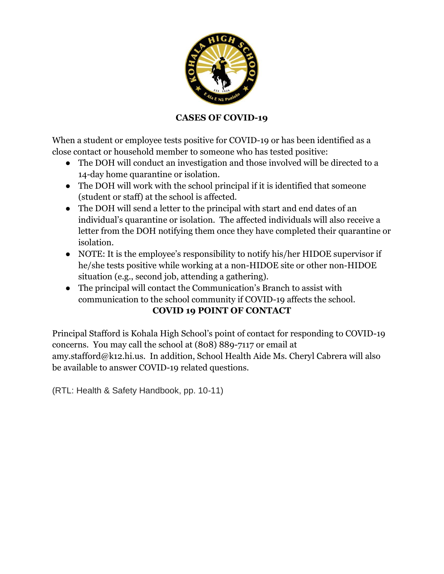

## **CASES OF COVID-19**

When a student or employee tests positive for COVID-19 or has been identified as a close contact or household member to someone who has tested positive:

- The DOH will conduct an investigation and those involved will be directed to a 14-day home quarantine or isolation.
- The DOH will work with the school principal if it is identified that someone (student or staff) at the school is affected.
- The DOH will send a letter to the principal with start and end dates of an individual's quarantine or isolation. The affected individuals will also receive a letter from the DOH notifying them once they have completed their quarantine or isolation.
- NOTE: It is the employee's responsibility to notify his/her HIDOE supervisor if he/she tests positive while working at a non-HIDOE site or other non-HIDOE situation (e.g., second job, attending a gathering).
- The principal will contact the Communication's Branch to assist with communication to the school community if COVID-19 affects the school.

## **COVID 19 POINT OF CONTACT**

Principal Stafford is Kohala High School's point of contact for responding to COVID-19 concerns. You may call the school at (808) 889-7117 or email at amy.stafford@k12.hi.us. In addition, School Health Aide Ms. Cheryl Cabrera will also be available to answer COVID-19 related questions.

(RTL: Health & Safety Handbook, pp. 10-11)